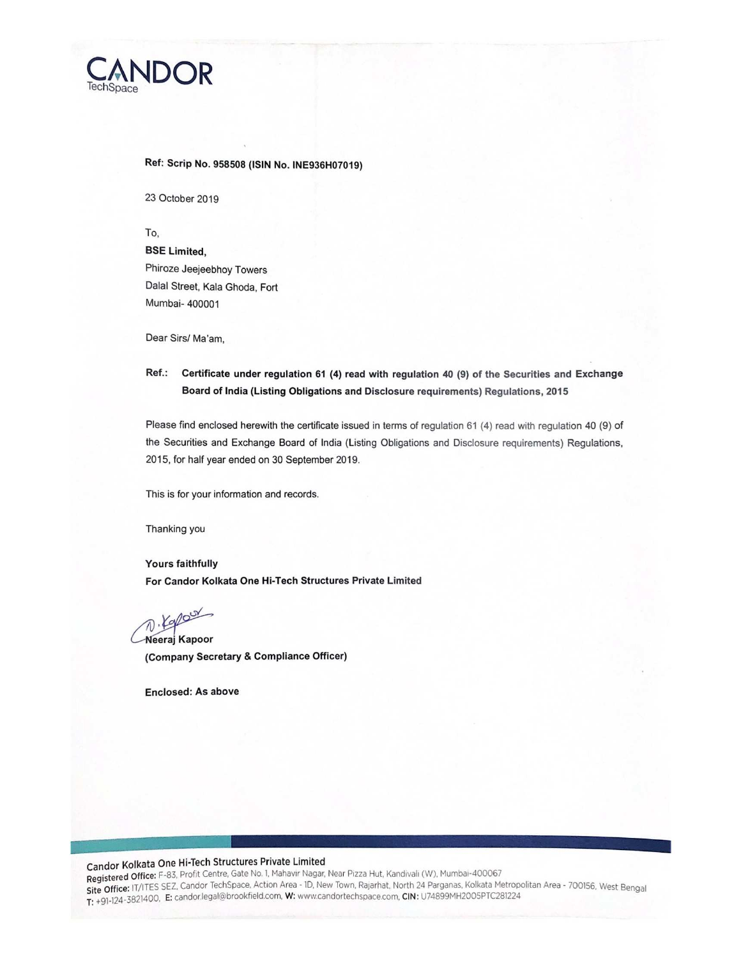

#### Ref: Scrip No. 958508 (ISIN No. INE936H07019)

23 October 2019

To,

BSE Limited, Phiroze Jeejeebhoy Towers Dalal Street, Kala Ghoda, Fort Mumbai- 400001

Dear Sirs/ Ma'am,

#### Ref.: Certificate under regulation 61 (4) read with regulation 40 (9) of the Securities and Exchange Board of India (Listing Obligations and Disclosure requirements) Regulations, 2015

Please find enclosed herewith the certificate issued in terms of regulation 61 (4) read with regulation 40 (9) of the Securities and Exchange Board of India (Listing Obligations and Disclosure requirements) Regulations, 2015, for half year ended on 30 September 2019.

This is for your information and records.

Thanking you

**Yours faithfully** For Candor Kolkata One Hi-Tech Structures Private Limited

D. Kapour

Neeraj Kapoor (Company Secretary & Compliance Officer)

Enclosed: As above

# Candor Kolkata One Hi-Tech Structures Private Limited

Registered Office: F-83, Profit Centre, Gate No. 1, Mahavir Nagar, Near Pizza Hut, Kandivali (W), Mumbai-400067 Site Office: IT/ITES SEZ, Candor TechSpace, Action Area - ID, New Town, Rajarhat, North 24 Parganas, Kolkata Metropolitan Area - 700156, West Bengal T: +91-124-3821400, E: candorlegal@brookfield.com, W: www.candortechspace.com, CIN: U74899MH2005PTC281224

ee waa dhexaa ka sheegaal in dhexaa ka sheegaal in dhexaa ka sheegaal in dhexaa ka sheegaal in dhexaa ka sheeg